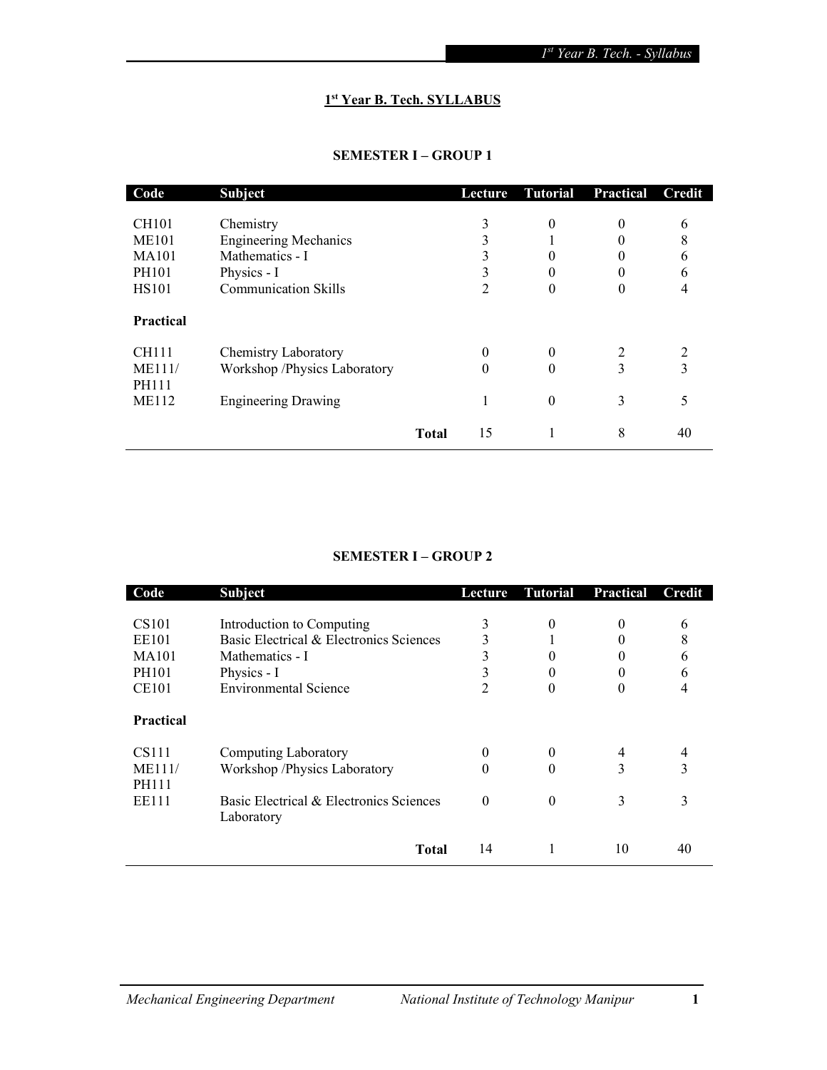# 1<sup>st</sup> Year B. Tech. SYLLABUS

## SEMESTER I – GROUP 1

| Code             | <b>Subject</b>               | <b>Lecture</b> | <b>Tutorial</b> | Practical | Credit |
|------------------|------------------------------|----------------|-----------------|-----------|--------|
|                  |                              |                |                 |           |        |
| <b>CH101</b>     | Chemistry                    | 3              | 0               | $\theta$  | 6      |
| <b>ME101</b>     | <b>Engineering Mechanics</b> |                |                 | 0         | 8      |
| <b>MA101</b>     | Mathematics - I              |                | 0               |           | h      |
| PH101            | Physics - I                  |                | 0               | 0         | h      |
| <b>HS101</b>     | <b>Communication Skills</b>  | 2              | 0               | 0         |        |
|                  |                              |                |                 |           |        |
| <b>Practical</b> |                              |                |                 |           |        |
| <b>CH111</b>     | <b>Chemistry Laboratory</b>  | 0              | 0               | 2         | 2      |
| ME111/           | Workshop /Physics Laboratory | 0              | $\theta$        | 3         | 3      |
| <b>PH111</b>     |                              |                |                 |           |        |
| <b>ME112</b>     | <b>Engineering Drawing</b>   |                | 0               | 3         |        |
|                  |                              |                |                 |           |        |
|                  | <b>Total</b>                 | 15             |                 | 8         | 40     |

# SEMESTER I – GROUP 2

| Code                                                                       | <b>Subject</b>                                                                                                                         | Lecture     | <b>Tutorial</b>                | Practical                 | Credit           |
|----------------------------------------------------------------------------|----------------------------------------------------------------------------------------------------------------------------------------|-------------|--------------------------------|---------------------------|------------------|
| CS <sub>101</sub><br><b>EE101</b><br><b>MA101</b><br>PH101<br><b>CE101</b> | Introduction to Computing<br>Basic Electrical & Electronics Sciences<br>Mathematics - I<br>Physics - I<br><b>Environmental Science</b> | 3<br>3<br>2 | 0<br>0<br>$\theta$<br>$\theta$ | $^{(1)}$<br>$\Omega$<br>0 | 6<br>8<br>b<br>h |
| <b>Practical</b>                                                           |                                                                                                                                        |             |                                |                           |                  |
| CS111<br>ME111/<br><b>PH111</b><br>EE111                                   | Computing Laboratory<br>Workshop /Physics Laboratory<br>Basic Electrical & Electronics Sciences<br>Laboratory                          | 0<br>0<br>0 | $\theta$<br>0<br>0             | 4<br>3<br>3               | 4<br>3<br>3      |
|                                                                            | <b>Total</b>                                                                                                                           | 14          |                                | 10                        | 40               |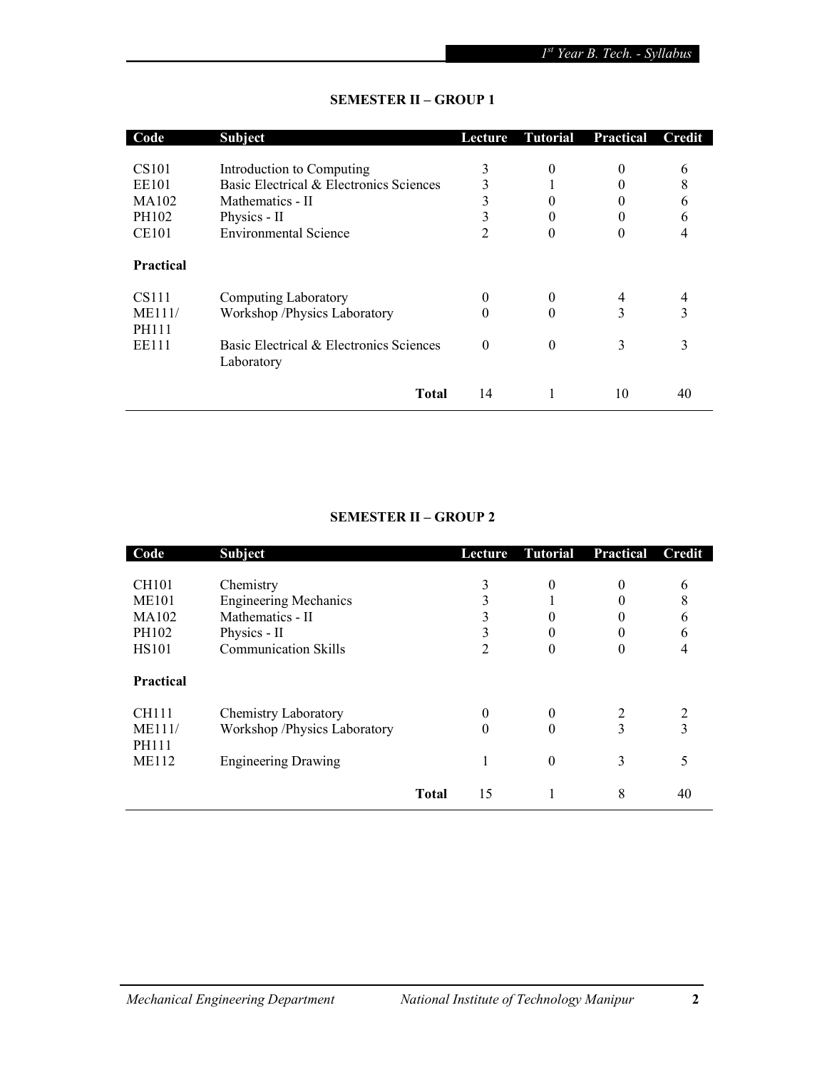| Code              | <b>Subject</b>                          | Lecture  | <b>Tutorial</b> | <b>Practical</b> | Credit |
|-------------------|-----------------------------------------|----------|-----------------|------------------|--------|
|                   |                                         |          |                 |                  |        |
| CS <sub>101</sub> | Introduction to Computing               | 3        | $\theta$        | $\theta$         | 6      |
| <b>EE101</b>      | Basic Electrical & Electronics Sciences | 3        |                 |                  | 8      |
| MA102             | Mathematics - II                        | 3        | 0               | 0                | 6      |
| PH102             | Physics - II                            | 3        | $\theta$        | 0                | 6      |
| <b>CE101</b>      | <b>Environmental Science</b>            | 2        | 0               | 0                |        |
| <b>Practical</b>  |                                         |          |                 |                  |        |
| CS <sub>111</sub> | <b>Computing Laboratory</b>             |          | $\theta$        | 4                | 4      |
| ME111/            | Workshop /Physics Laboratory            | $\theta$ | $\theta$        | 3                | 3      |
| <b>PH111</b>      |                                         |          |                 |                  |        |
| EE111             | Basic Electrical & Electronics Sciences | $\Omega$ | $\theta$        | 3                | 3      |
|                   | Laboratory                              |          |                 |                  |        |
|                   |                                         |          |                 |                  |        |
|                   | <b>Total</b>                            | 14       | 1               | 10               | 40     |

## SEMESTER II – GROUP 1

# SEMESTER II – GROUP 2

| Code             | <b>Subject</b>               |              | Lecture | Tutorial | <b>Practical</b> | Credit |
|------------------|------------------------------|--------------|---------|----------|------------------|--------|
| <b>CH101</b>     | Chemistry                    |              | 3       | 0        | $\Omega$         | 6      |
| <b>ME101</b>     | <b>Engineering Mechanics</b> |              |         |          |                  | 8      |
| MA102            | Mathematics - II             |              |         | 0        |                  | 6      |
| PH102            | Physics - II                 |              | 3       | $\theta$ |                  | 6      |
| <b>HS101</b>     | <b>Communication Skills</b>  |              | 2       | $\theta$ | $\Omega$         | 4      |
| <b>Practical</b> |                              |              |         |          |                  |        |
| CH111            | <b>Chemistry Laboratory</b>  |              | 0       | 0        | 2                | 2      |
| ME111/           | Workshop /Physics Laboratory |              | 0       | 0        | 3                | 3      |
| <b>PH111</b>     |                              |              |         |          |                  |        |
| <b>ME112</b>     | <b>Engineering Drawing</b>   |              |         | $\theta$ | 3                | 5      |
|                  |                              | <b>Total</b> | 15      |          | 8                | 40     |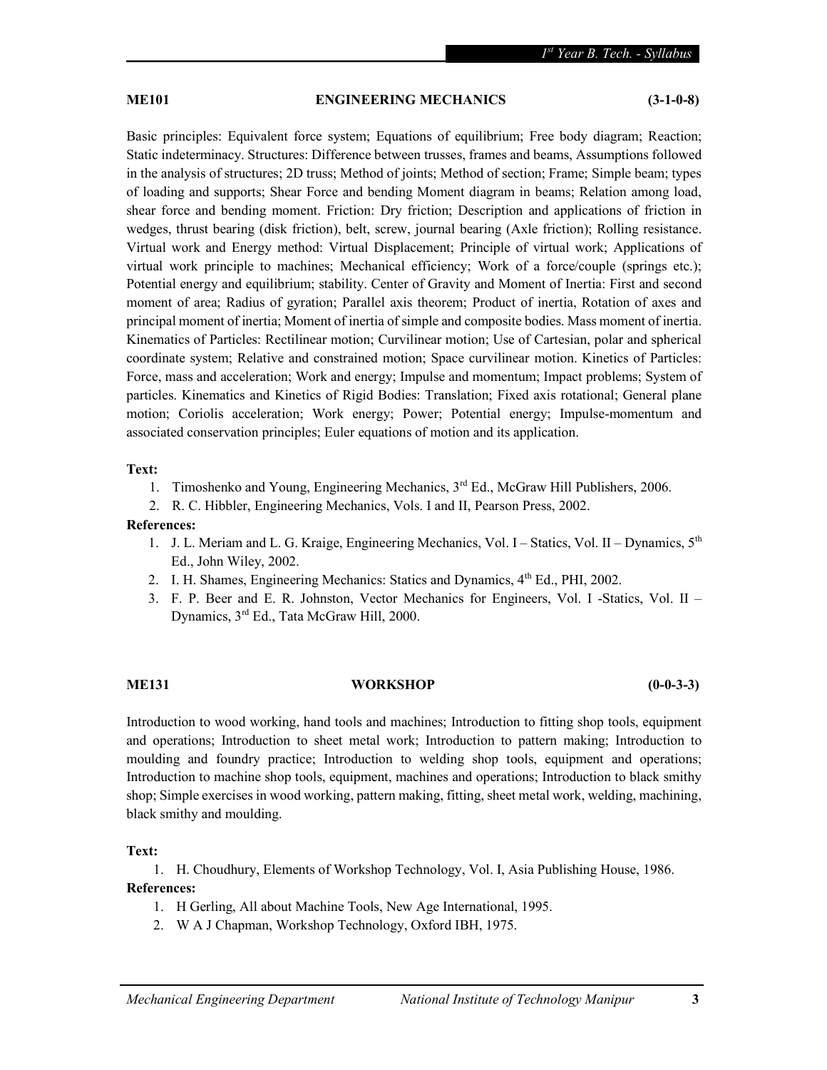## ME101 ENGINEERING MECHANICS (3-1-0-8)

Basic principles: Equivalent force system; Equations of equilibrium; Free body diagram; Reaction; Static indeterminacy. Structures: Difference between trusses, frames and beams, Assumptions followed in the analysis of structures; 2D truss; Method of joints; Method of section; Frame; Simple beam; types of loading and supports; Shear Force and bending Moment diagram in beams; Relation among load, shear force and bending moment. Friction: Dry friction; Description and applications of friction in wedges, thrust bearing (disk friction), belt, screw, journal bearing (Axle friction); Rolling resistance. Virtual work and Energy method: Virtual Displacement; Principle of virtual work; Applications of virtual work principle to machines; Mechanical efficiency; Work of a force/couple (springs etc.); Potential energy and equilibrium; stability. Center of Gravity and Moment of Inertia: First and second moment of area; Radius of gyration; Parallel axis theorem; Product of inertia, Rotation of axes and principal moment of inertia; Moment of inertia of simple and composite bodies. Mass moment of inertia. Kinematics of Particles: Rectilinear motion; Curvilinear motion; Use of Cartesian, polar and spherical coordinate system; Relative and constrained motion; Space curvilinear motion. Kinetics of Particles: Force, mass and acceleration; Work and energy; Impulse and momentum; Impact problems; System of particles. Kinematics and Kinetics of Rigid Bodies: Translation; Fixed axis rotational; General plane motion; Coriolis acceleration; Work energy; Power; Potential energy; Impulse-momentum and associated conservation principles; Euler equations of motion and its application.

#### Text:

- 1. Timoshenko and Young, Engineering Mechanics,  $3<sup>rd</sup>$  Ed., McGraw Hill Publishers, 2006.
- 2. R. C. Hibbler, Engineering Mechanics, Vols. I and II, Pearson Press, 2002.

### References:

- 1. J. L. Meriam and L. G. Kraige, Engineering Mechanics, Vol. I Statics, Vol. II Dynamics,  $5^{th}$ Ed., John Wiley, 2002.
- 2. I. H. Shames, Engineering Mechanics: Statics and Dynamics, 4<sup>th</sup> Ed., PHI, 2002.
- 3. F. P. Beer and E. R. Johnston, Vector Mechanics for Engineers, Vol. I -Statics, Vol. II Dynamics, 3rd Ed., Tata McGraw Hill, 2000.

### ME131 WORKSHOP (0-0-3-3)

Introduction to wood working, hand tools and machines; Introduction to fitting shop tools, equipment and operations; Introduction to sheet metal work; Introduction to pattern making; Introduction to moulding and foundry practice; Introduction to welding shop tools, equipment and operations; Introduction to machine shop tools, equipment, machines and operations; Introduction to black smithy shop; Simple exercises in wood working, pattern making, fitting, sheet metal work, welding, machining, black smithy and moulding.

### Text:

1. H. Choudhury, Elements of Workshop Technology, Vol. I, Asia Publishing House, 1986. References:

- 1. H Gerling, All about Machine Tools, New Age International, 1995.
- 2. W A J Chapman, Workshop Technology, Oxford IBH, 1975.